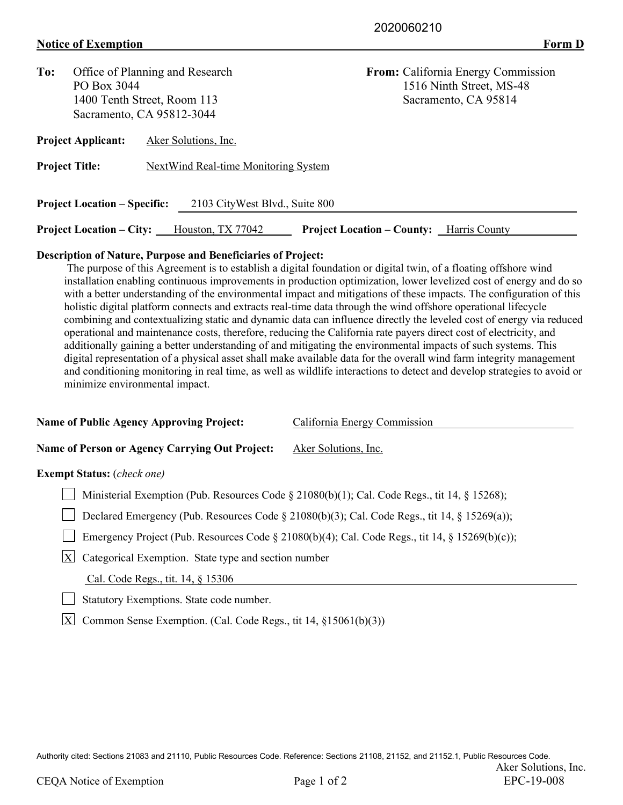## **Notice of Exemption** Form D

| To:                                                                   | Office of Planning and Research |                                      | <b>From:</b> California Energy Commission          |  |  |  |  |  |
|-----------------------------------------------------------------------|---------------------------------|--------------------------------------|----------------------------------------------------|--|--|--|--|--|
|                                                                       | PO Box 3044                     |                                      | 1516 Ninth Street, MS-48                           |  |  |  |  |  |
|                                                                       |                                 | 1400 Tenth Street, Room 113          | Sacramento, CA 95814                               |  |  |  |  |  |
|                                                                       |                                 | Sacramento, CA 95812-3044            |                                                    |  |  |  |  |  |
|                                                                       | <b>Project Applicant:</b>       | Aker Solutions, Inc.                 |                                                    |  |  |  |  |  |
| <b>Project Title:</b>                                                 |                                 | NextWind Real-time Monitoring System |                                                    |  |  |  |  |  |
| <b>Project Location – Specific:</b><br>2103 CityWest Blvd., Suite 800 |                                 |                                      |                                                    |  |  |  |  |  |
|                                                                       | <b>Project Location – City:</b> | Houston, TX 77042                    | <b>Project Location – County:</b><br>Harris County |  |  |  |  |  |

## **Description of Nature, Purpose and Beneficiaries of Project:**

 The purpose of this Agreement is to establish a digital foundation or digital twin, of a floating offshore wind installation enabling continuous improvements in production optimization, lower levelized cost of energy and do so with a better understanding of the environmental impact and mitigations of these impacts. The configuration of this holistic digital platform connects and extracts real-time data through the wind offshore operational lifecycle combining and contextualizing static and dynamic data can influence directly the leveled cost of energy via reduced operational and maintenance costs, therefore, reducing the California rate payers direct cost of electricity, and additionally gaining a better understanding of and mitigating the environmental impacts of such systems. This digital representation of a physical asset shall make available data for the overall wind farm integrity management and conditioning monitoring in real time, as well as wildlife interactions to detect and develop strategies to avoid or minimize environmental impact.

| <b>Name of Public Agency Approving Project:</b>                                                    | California Energy Commission                                                                   |  |  |
|----------------------------------------------------------------------------------------------------|------------------------------------------------------------------------------------------------|--|--|
| Name of Person or Agency Carrying Out Project:                                                     | Aker Solutions, Inc.                                                                           |  |  |
| <b>Exempt Status:</b> ( <i>check one</i> )                                                         |                                                                                                |  |  |
| Ministerial Exemption (Pub. Resources Code § 21080(b)(1); Cal. Code Regs., tit 14, § 15268);       |                                                                                                |  |  |
| Declared Emergency (Pub. Resources Code $\S$ 21080(b)(3); Cal. Code Regs., tit 14, $\S$ 15269(a)); |                                                                                                |  |  |
|                                                                                                    | Emergency Project (Pub. Resources Code § 21080(b)(4); Cal. Code Regs., tit 14, § 15269(b)(c)); |  |  |
| X <br>Categorical Exemption. State type and section number                                         |                                                                                                |  |  |
| Cal. Code Regs., tit. 14, § 15306                                                                  |                                                                                                |  |  |
| Statutory Exemptions. State code number.                                                           |                                                                                                |  |  |
| X<br>Common Sense Exemption. (Cal. Code Regs., tit 14, §15061(b)(3))                               |                                                                                                |  |  |